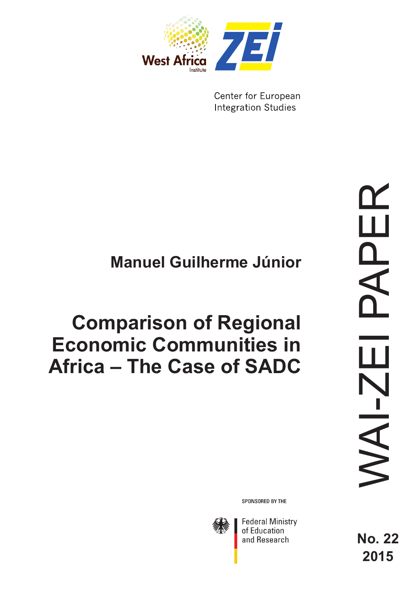

Center for European **Integration Studies** 

# **Manuel Guilherme Júnior**

# **Comparison of Regional Economic Communities in Africa – The Case of SADC**

SPONSORED BY THE



**Federal Ministry** of Education and Research

**No. 22 2015**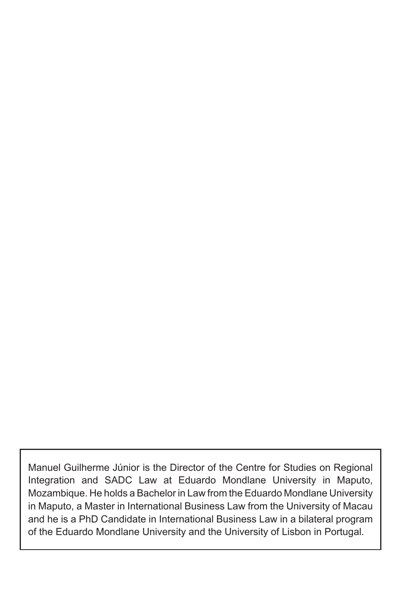Manuel Guilherme Júnior is the Director of the Centre for Studies on Regional Integration and SADC Law at Eduardo Mondlane University in Maputo, Mozambique. He holds a Bachelor in Law from the Eduardo Mondlane University in Maputo, a Master in International Business Law from the University of Macau and he is a PhD Candidate in International Business Law in a bilateral program of the Eduardo Mondlane University and the University of Lisbon in Portugal.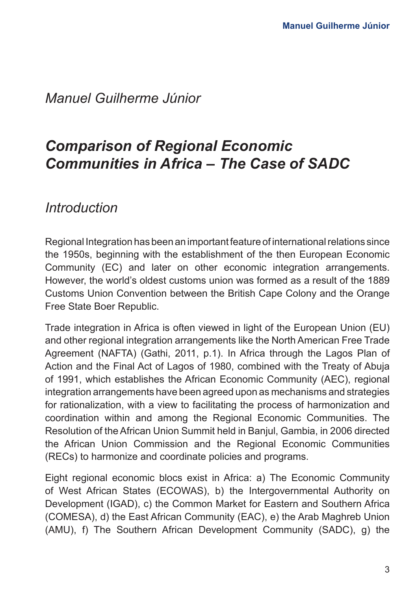*Manuel Guilherme Júnior*

## *Comparison of Regional Economic Communities in Africa – The Case of SADC*

*Introduction*

Regional Integration has been an important feature of international relations since the 1950s, beginning with the establishment of the then European Economic Community (EC) and later on other economic integration arrangements. However, the world's oldest customs union was formed as a result of the 1889 Customs Union Convention between the British Cape Colony and the Orange Free State Boer Republic.

Trade integration in Africa is often viewed in light of the European Union (EU) and other regional integration arrangements like the North American Free Trade Agreement (NAFTA) (Gathi, 2011, p.1). In Africa through the Lagos Plan of Action and the Final Act of Lagos of 1980, combined with the Treaty of Abuja of 1991, which establishes the African Economic Community (AEC), regional integration arrangements have been agreed upon as mechanisms and strategies for rationalization, with a view to facilitating the process of harmonization and coordination within and among the Regional Economic Communities. The Resolution of the African Union Summit held in Banjul, Gambia, in 2006 directed the African Union Commission and the Regional Economic Communities (RECs) to harmonize and coordinate policies and programs.

Eight regional economic blocs exist in Africa: a) The Economic Community of West African States (ECOWAS), b) the Intergovernmental Authority on Development (IGAD), c) the Common Market for Eastern and Southern Africa (COMESA), d) the East African Community (EAC), e) the Arab Maghreb Union (AMU), f) The Southern African Development Community (SADC), g) the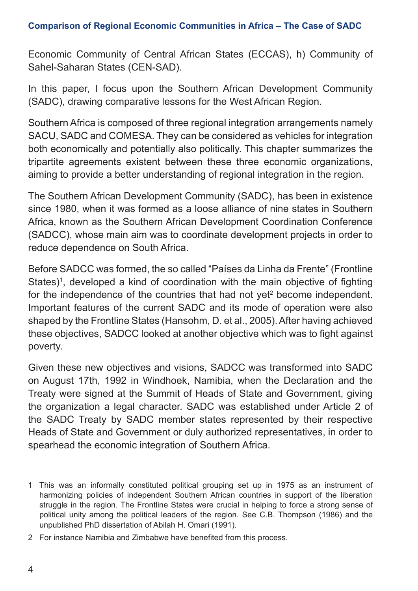Economic Community of Central African States (ECCAS), h) Community of Sahel-Saharan States (CEN-SAD).

In this paper, I focus upon the Southern African Development Community (SADC), drawing comparative lessons for the West African Region.

Southern Africa is composed of three regional integration arrangements namely SACU, SADC and COMESA. They can be considered as vehicles for integration both economically and potentially also politically. This chapter summarizes the tripartite agreements existent between these three economic organizations, aiming to provide a better understanding of regional integration in the region.

The Southern African Development Community (SADC), has been in existence since 1980, when it was formed as a loose alliance of nine states in Southern Africa, known as the Southern African Development Coordination Conference (SADCC), whose main aim was to coordinate development projects in order to reduce dependence on South Africa.

Before SADCC was formed, the so called "Países da Linha da Frente" (Frontline States)<sup>1</sup>, developed a kind of coordination with the main objective of fighting for the independence of the countries that had not yet<sup>2</sup> become independent. Important features of the current SADC and its mode of operation were also shaped by the Frontline States (Hansohm, D. et al., 2005). After having achieved these objectives, SADCC looked at another objective which was to fight against poverty.

Given these new objectives and visions, SADCC was transformed into SADC on August 17th, 1992 in Windhoek, Namibia, when the Declaration and the Treaty were signed at the Summit of Heads of State and Government, giving the organization a legal character. SADC was established under Article 2 of the SADC Treaty by SADC member states represented by their respective Heads of State and Government or duly authorized representatives, in order to spearhead the economic integration of Southern Africa.

- 1 This was an informally constituted political grouping set up in 1975 as an instrument of harmonizing policies of independent Southern African countries in support of the liberation struggle in the region. The Frontline States were crucial in helping to force a strong sense of political unity among the political leaders of the region. See C.B. Thompson (1986) and the unpublished PhD dissertation of Abilah H. Omari (1991).
- 2 For instance Namibia and Zimbabwe have benefited from this process.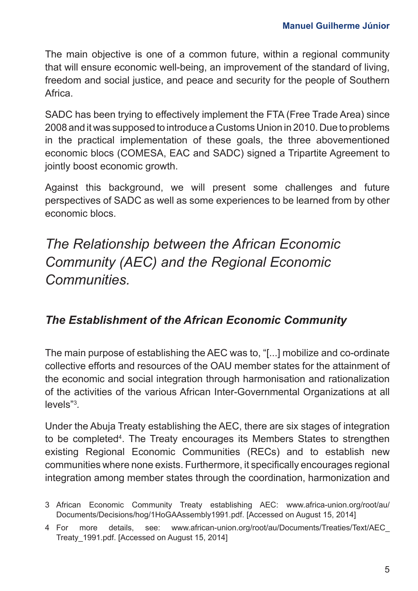The main objective is one of a common future, within a regional community that will ensure economic well-being, an improvement of the standard of living, freedom and social justice, and peace and security for the people of Southern Africa.

SADC has been trying to effectively implement the FTA (Free Trade Area) since 2008 and it was supposed to introduce a Customs Union in 2010. Due to problems in the practical implementation of these goals, the three abovementioned economic blocs (COMESA, EAC and SADC) signed a Tripartite Agreement to jointly boost economic growth.

Against this background, we will present some challenges and future perspectives of SADC as well as some experiences to be learned from by other economic blocs.

*The Relationship between the African Economic Community (AEC) and the Regional Economic Communities.*

## *The Establishment of the African Economic Community*

The main purpose of establishing the AEC was to, "[...] mobilize and co-ordinate collective efforts and resources of the OAU member states for the attainment of the economic and social integration through harmonisation and rationalization of the activities of the various African Inter-Governmental Organizations at all levels"3 *.* 

Under the Abuja Treaty establishing the AEC, there are six stages of integration to be completed4 . The Treaty encourages its Members States to strengthen existing Regional Economic Communities (RECs) and to establish new communities where none exists. Furthermore, it specifically encourages regional integration among member states through the coordination, harmonization and

<sup>3</sup> African Economic Community Treaty establishing AEC: [www.africa-union.org/root/au/](http://www.africa-union.org/root/au/Documents/Decisions/hog/1HoGAAssembly1991.pdf) [Documents/Decisions/hog/1HoGAAssembly1991.pdf.](http://www.africa-union.org/root/au/Documents/Decisions/hog/1HoGAAssembly1991.pdf) [Accessed on August 15, 2014]

<sup>4</sup> For more details, see: [www.african-union.org/root/au/Documents/Treaties/Text/AEC\\_](http://www.african-union.org/root/au/Documents/Treaties/Text/AEC_Treaty_1991.pdf) [Treaty\\_1991.pdf.](http://www.african-union.org/root/au/Documents/Treaties/Text/AEC_Treaty_1991.pdf) [Accessed on August 15, 2014]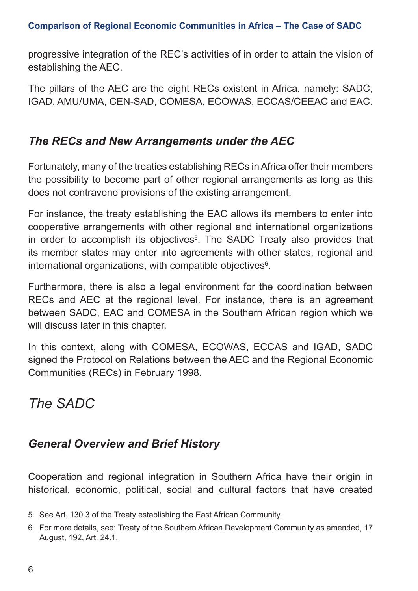progressive integration of the REC's activities of in order to attain the vision of establishing the AEC.

The pillars of the AEC are the eight RECs existent in Africa, namely: SADC, IGAD, AMU/UMA, CEN-SAD, COMESA, ECOWAS, ECCAS/CEEAC and EAC.

## *The RECs and New Arrangements under the AEC*

Fortunately, many of the treaties establishing RECs in Africa offer their members the possibility to become part of other regional arrangements as long as this does not contravene provisions of the existing arrangement.

For instance, the treaty establishing the EAC allows its members to enter into cooperative arrangements with other regional and international organizations in order to accomplish its objectives<sup>5</sup>. The SADC Treaty also provides that its member states may enter into agreements with other states, regional and international organizations, with compatible objectives<sup>6</sup>.

Furthermore, there is also a legal environment for the coordination between RECs and AEC at the regional level. For instance, there is an agreement between SADC, EAC and COMESA in the Southern African region which we will discuss later in this chapter.

In this context, along with COMESA, ECOWAS, ECCAS and IGAD, SADC signed the Protocol on Relations between the AEC and the Regional Economic Communities (RECs) in February 1998.

# *The SADC*

## *General Overview and Brief History*

Cooperation and regional integration in Southern Africa have their origin in historical, economic, political, social and cultural factors that have created

<sup>5</sup> See Art. 130.3 of the Treaty establishing the East African Community.

<sup>6</sup> For more details, see: Treaty of the Southern African Development Community as amended, 17 August, 192, Art. 24.1.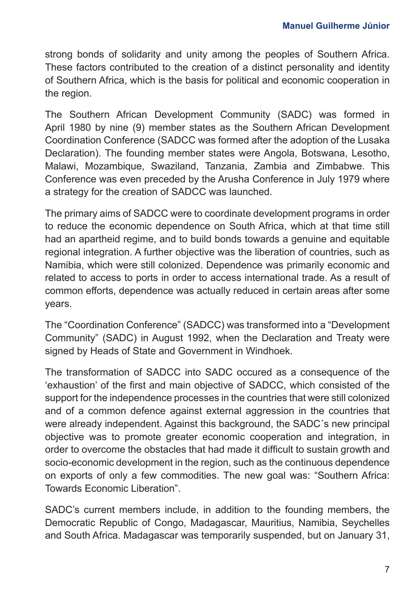strong bonds of solidarity and unity among the peoples of Southern Africa. These factors contributed to the creation of a distinct personality and identity of Southern Africa, which is the basis for political and economic cooperation in the region.

The Southern African Development Community (SADC) was formed in April 1980 by nine (9) member states as the Southern African Development Coordination Conference (SADCC was formed after the adoption of the Lusaka Declaration). The founding member states were Angola, Botswana, Lesotho, Malawi, Mozambique, Swaziland, Tanzania, Zambia and Zimbabwe. This Conference was even preceded by the Arusha Conference in July 1979 where a strategy for the creation of SADCC was launched.

The primary aims of SADCC were to coordinate development programs in order to reduce the economic dependence on South Africa, which at that time still had an apartheid regime, and to build bonds towards a genuine and equitable regional integration. A further objective was the liberation of countries, such as Namibia, which were still colonized. Dependence was primarily economic and related to access to ports in order to access international trade. As a result of common efforts, dependence was actually reduced in certain areas after some years.

The "Coordination Conference" (SADCC) was transformed into a "Development Community" (SADC) in August 1992, when the Declaration and Treaty were signed by Heads of State and Government in Windhoek.

The transformation of SADCC into SADC occured as a consequence of the 'exhaustion' of the first and main objective of SADCC, which consisted of the support for the independence processes in the countries that were still colonized and of a common defence against external aggression in the countries that were already independent. Against this background, the SADC's new principal objective was to promote greater economic cooperation and integration, in order to overcome the obstacles that had made it difficult to sustain growth and socio-economic development in the region, such as the continuous dependence on exports of only a few commodities. The new goal was: "Southern Africa: Towards Economic Liberation".

SADC's current members include, in addition to the founding members, the Democratic Republic of Congo, Madagascar, Mauritius, Namibia, Seychelles and South Africa. Madagascar was temporarily suspended, but on January 31,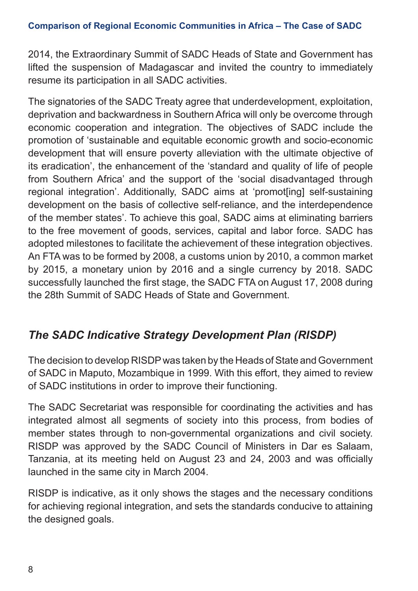2014, the Extraordinary Summit of SADC Heads of State and Government has lifted the suspension of Madagascar and invited the country to immediately resume its participation in all SADC activities.

The signatories of the SADC Treaty agree that underdevelopment, exploitation, deprivation and backwardness in Southern Africa will only be overcome through economic cooperation and integration. The objectives of SADC include the promotion of 'sustainable and equitable economic growth and socio-economic development that will ensure poverty alleviation with the ultimate objective of its eradication', the enhancement of the 'standard and quality of life of people from Southern Africa' and the support of the 'social disadvantaged through regional integration'. Additionally, SADC aims at 'promot[ing] self-sustaining development on the basis of collective self-reliance, and the interdependence of the member states'. To achieve this goal, SADC aims at eliminating barriers to the free movement of goods, services, capital and labor force. SADC has adopted milestones to facilitate the achievement of these integration objectives. An FTA was to be formed by 2008, a customs union by 2010, a common market by 2015, a monetary union by 2016 and a single currency by 2018. SADC successfully launched the first stage, the SADC FTA on August 17, 2008 during the 28th Summit of SADC Heads of State and Government.

## *The SADC Indicative Strategy Development Plan (RISDP)*

The decision to develop RISDP was taken by the Heads of State and Government of SADC in Maputo, Mozambique in 1999. With this effort, they aimed to review of SADC institutions in order to improve their functioning.

The SADC Secretariat was responsible for coordinating the activities and has integrated almost all segments of society into this process, from bodies of member states through to non-governmental organizations and civil society. RISDP was approved by the SADC Council of Ministers in Dar es Salaam, Tanzania, at its meeting held on August 23 and 24, 2003 and was officially launched in the same city in March 2004.

RISDP is indicative, as it only shows the stages and the necessary conditions for achieving regional integration, and sets the standards conducive to attaining the designed goals.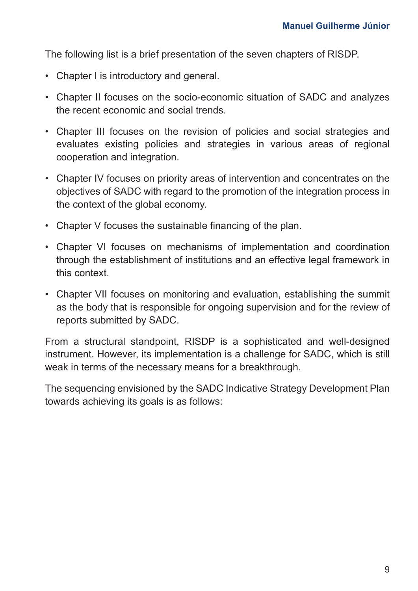The following list is a brief presentation of the seven chapters of RISDP.

- Chapter I is introductory and general.
- Chapter II focuses on the socio-economic situation of SADC and analyzes the recent economic and social trends.
- Chapter III focuses on the revision of policies and social strategies and evaluates existing policies and strategies in various areas of regional cooperation and integration.
- Chapter IV focuses on priority areas of intervention and concentrates on the objectives of SADC with regard to the promotion of the integration process in the context of the global economy.
- Chapter V focuses the sustainable financing of the plan.
- Chapter VI focuses on mechanisms of implementation and coordination through the establishment of institutions and an effective legal framework in this context.
- Chapter VII focuses on monitoring and evaluation, establishing the summit as the body that is responsible for ongoing supervision and for the review of reports submitted by SADC.

From a structural standpoint, RISDP is a sophisticated and well-designed instrument. However, its implementation is a challenge for SADC, which is still weak in terms of the necessary means for a breakthrough.

The sequencing envisioned by the SADC Indicative Strategy Development Plan towards achieving its goals is as follows: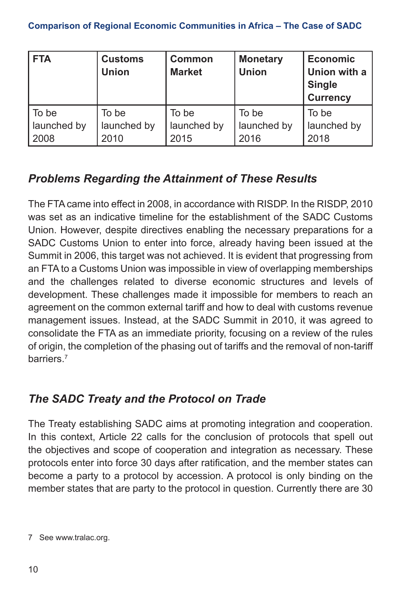| <b>FTA</b>  | <b>Customs</b><br><b>Union</b> | Common<br><b>Market</b> | Monetary<br><b>Union</b> | <b>Economic</b><br>Union with a<br><b>Single</b><br><b>Currency</b> |
|-------------|--------------------------------|-------------------------|--------------------------|---------------------------------------------------------------------|
| To be       | To be                          | To be                   | To be                    | To be                                                               |
| launched by | launched by                    | launched by             | launched by              | launched by                                                         |
| 2008        | 2010                           | 2015                    | 2016                     | 2018                                                                |

## *Problems Regarding the Attainment of These Results*

The FTA came into effect in 2008, in accordance with RISDP. In the RISDP, 2010 was set as an indicative timeline for the establishment of the SADC Customs Union. However, despite directives enabling the necessary preparations for a SADC Customs Union to enter into force, already having been issued at the Summit in 2006, this target was not achieved. It is evident that progressing from an FTA to a Customs Union was impossible in view of overlapping memberships and the challenges related to diverse economic structures and levels of development. These challenges made it impossible for members to reach an agreement on the common external tariff and how to deal with customs revenue management issues. Instead, at the SADC Summit in 2010, it was agreed to consolidate the FTA as an immediate priority, focusing on a review of the rules of origin, the completion of the phasing out of tariffs and the removal of non-tariff harriers<sup>7</sup>

## *The SADC Treaty and the Protocol on Trade*

The Treaty establishing SADC aims at promoting integration and cooperation. In this context, Article 22 calls for the conclusion of protocols that spell out the objectives and scope of cooperation and integration as necessary. These protocols enter into force 30 days after ratification, and the member states can become a party to a protocol by accession. A protocol is only binding on the member states that are party to the protocol in question. Currently there are 30

<sup>7</sup> See [www.tralac.org.](http://www.tralac.org)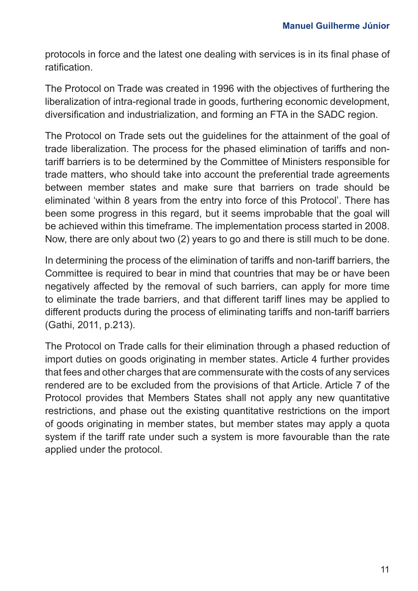protocols in force and the latest one dealing with services is in its final phase of ratification.

The Protocol on Trade was created in 1996 with the objectives of furthering the liberalization of intra-regional trade in goods, furthering economic development, diversification and industrialization, and forming an FTA in the SADC region.

The Protocol on Trade sets out the guidelines for the attainment of the goal of trade liberalization. The process for the phased elimination of tariffs and nontariff barriers is to be determined by the Committee of Ministers responsible for trade matters, who should take into account the preferential trade agreements between member states and make sure that barriers on trade should be eliminated 'within 8 years from the entry into force of this Protocol'. There has been some progress in this regard, but it seems improbable that the goal will be achieved within this timeframe. The implementation process started in 2008. Now, there are only about two (2) years to go and there is still much to be done.

In determining the process of the elimination of tariffs and non-tariff barriers, the Committee is required to bear in mind that countries that may be or have been negatively affected by the removal of such barriers, can apply for more time to eliminate the trade barriers, and that different tariff lines may be applied to different products during the process of eliminating tariffs and non-tariff barriers (Gathi, 2011, p.213).

The Protocol on Trade calls for their elimination through a phased reduction of import duties on goods originating in member states. Article 4 further provides that fees and other charges that are commensurate with the costs of any services rendered are to be excluded from the provisions of that Article. Article 7 of the Protocol provides that Members States shall not apply any new quantitative restrictions, and phase out the existing quantitative restrictions on the import of goods originating in member states, but member states may apply a quota system if the tariff rate under such a system is more favourable than the rate applied under the protocol.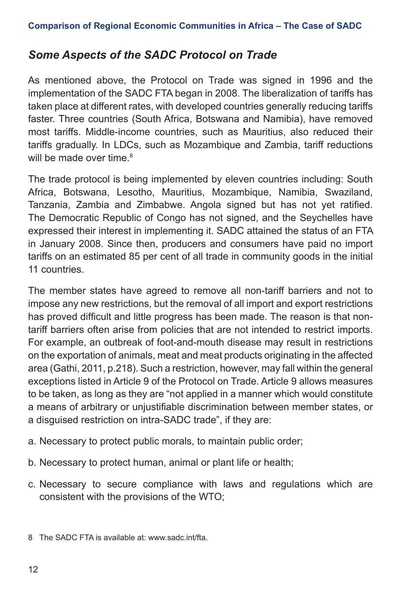## *Some Aspects of the SADC Protocol on Trade*

As mentioned above, the Protocol on Trade was signed in 1996 and the implementation of the SADC FTA began in 2008. The liberalization of tariffs has taken place at different rates, with developed countries generally reducing tariffs faster. Three countries (South Africa, Botswana and Namibia), have removed most tariffs. Middle-income countries, such as Mauritius, also reduced their tariffs gradually. In LDCs, such as Mozambique and Zambia, tariff reductions will be made over time.<sup>8</sup>

The trade protocol is being implemented by eleven countries including: South Africa, Botswana, Lesotho, Mauritius, Mozambique, Namibia, Swaziland, Tanzania, Zambia and Zimbabwe. Angola signed but has not yet ratified. The Democratic Republic of Congo has not signed, and the Seychelles have expressed their interest in implementing it. SADC attained the status of an FTA in January 2008. Since then, producers and consumers have paid no import tariffs on an estimated 85 per cent of all trade in community goods in the initial 11 countries.

The member states have agreed to remove all non-tariff barriers and not to impose any new restrictions, but the removal of all import and export restrictions has proved difficult and little progress has been made. The reason is that nontariff barriers often arise from policies that are not intended to restrict imports. For example, an outbreak of foot-and-mouth disease may result in restrictions on the exportation of animals, meat and meat products originating in the affected area (Gathi, 2011, p.218). Such a restriction, however, may fall within the general exceptions listed in Article 9 of the Protocol on Trade. Article 9 allows measures to be taken, as long as they are "not applied in a manner which would constitute a means of arbitrary or unjustifiable discrimination between member states, or a disguised restriction on intra-SADC trade", if they are:

- a. Necessary to protect public morals, to maintain public order;
- b. Necessary to protect human, animal or plant life or health;
- c. Necessary to secure compliance with laws and regulations which are consistent with the provisions of the WTO;

<sup>8</sup> The SADC FTA is available at: [www.sadc.int/fta](http://www.sadc.int/fta).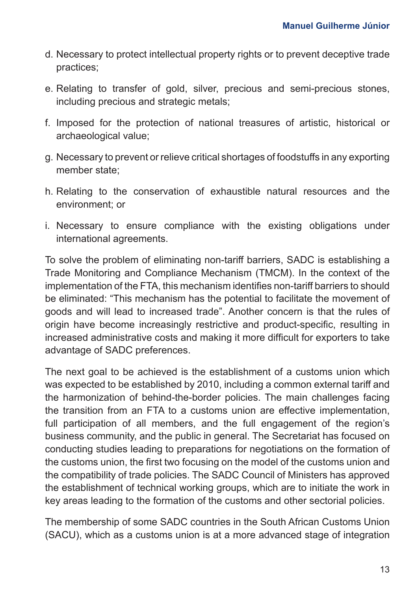- d. Necessary to protect intellectual property rights or to prevent deceptive trade practices;
- e. Relating to transfer of gold, silver, precious and semi-precious stones, including precious and strategic metals;
- f. Imposed for the protection of national treasures of artistic, historical or archaeological value;
- g. Necessary to prevent or relieve critical shortages of foodstuffs in any exporting member state;
- h. Relating to the conservation of exhaustible natural resources and the environment; or
- i. Necessary to ensure compliance with the existing obligations under international agreements.

To solve the problem of eliminating non-tariff barriers, SADC is establishing a Trade Monitoring and Compliance Mechanism (TMCM). In the context of the implementation of the FTA, this mechanism identifies non-tariff barriers to should be eliminated: "This mechanism has the potential to facilitate the movement of goods and will lead to increased trade". Another concern is that the rules of origin have become increasingly restrictive and product-specific, resulting in increased administrative costs and making it more difficult for exporters to take advantage of SADC preferences.

The next goal to be achieved is the establishment of a customs union which was expected to be established by 2010, including a common external tariff and the harmonization of behind-the-border policies. The main challenges facing the transition from an FTA to a customs union are effective implementation, full participation of all members, and the full engagement of the region's business community, and the public in general. The Secretariat has focused on conducting studies leading to preparations for negotiations on the formation of the customs union, the first two focusing on the model of the customs union and the compatibility of trade policies. The SADC Council of Ministers has approved the establishment of technical working groups, which are to initiate the work in key areas leading to the formation of the customs and other sectorial policies.

The membership of some SADC countries in the South African Customs Union (SACU), which as a customs union is at a more advanced stage of integration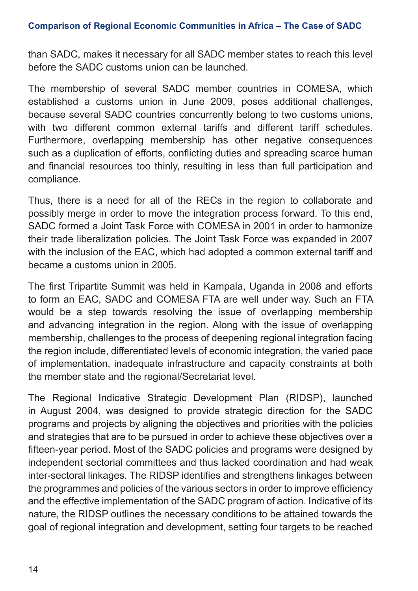than SADC, makes it necessary for all SADC member states to reach this level before the SADC customs union can be launched.

The membership of several SADC member countries in COMESA, which established a customs union in June 2009, poses additional challenges, because several SADC countries concurrently belong to two customs unions, with two different common external tariffs and different tariff schedules. Furthermore, overlapping membership has other negative consequences such as a duplication of efforts, conflicting duties and spreading scarce human and financial resources too thinly, resulting in less than full participation and compliance.

Thus, there is a need for all of the RECs in the region to collaborate and possibly merge in order to move the integration process forward. To this end, SADC formed a Joint Task Force with COMESA in 2001 in order to harmonize their trade liberalization policies. The Joint Task Force was expanded in 2007 with the inclusion of the EAC, which had adopted a common external tariff and became a customs union in 2005.

The first Tripartite Summit was held in Kampala, Uganda in 2008 and efforts to form an EAC, SADC and COMESA FTA are well under way. Such an FTA would be a step towards resolving the issue of overlapping membership and advancing integration in the region. Along with the issue of overlapping membership, challenges to the process of deepening regional integration facing the region include, differentiated levels of economic integration, the varied pace of implementation, inadequate infrastructure and capacity constraints at both the member state and the regional/Secretariat level.

The Regional Indicative Strategic Development Plan (RIDSP), launched in August 2004, was designed to provide strategic direction for the SADC programs and projects by aligning the objectives and priorities with the policies and strategies that are to be pursued in order to achieve these objectives over a fifteen-year period. Most of the SADC policies and programs were designed by independent sectorial committees and thus lacked coordination and had weak inter-sectoral linkages. The RIDSP identifies and strengthens linkages between the programmes and policies of the various sectors in order to improve efficiency and the effective implementation of the SADC program of action. Indicative of its nature, the RIDSP outlines the necessary conditions to be attained towards the goal of regional integration and development, setting four targets to be reached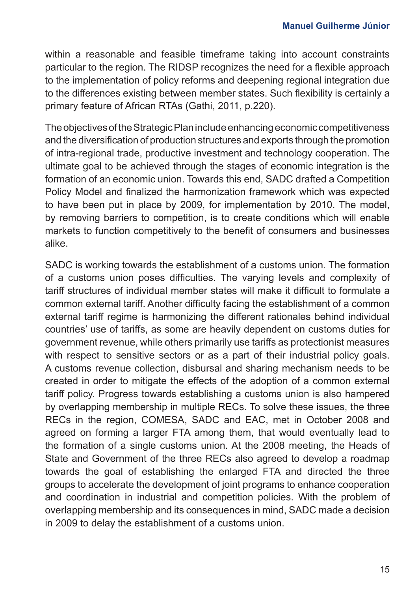within a reasonable and feasible timeframe taking into account constraints particular to the region. The RIDSP recognizes the need for a flexible approach to the implementation of policy reforms and deepening regional integration due to the differences existing between member states. Such flexibility is certainly a primary feature of African RTAs (Gathi, 2011, p.220).

The objectives of the Strategic Plan include enhancing economic competitiveness and the diversification of production structures and exports through the promotion of intra-regional trade, productive investment and technology cooperation. The ultimate goal to be achieved through the stages of economic integration is the formation of an economic union. Towards this end, SADC drafted a Competition Policy Model and finalized the harmonization framework which was expected to have been put in place by 2009, for implementation by 2010. The model, by removing barriers to competition, is to create conditions which will enable markets to function competitively to the benefit of consumers and businesses alike.

SADC is working towards the establishment of a customs union. The formation of a customs union poses difficulties. The varying levels and complexity of tariff structures of individual member states will make it difficult to formulate a common external tariff. Another difficulty facing the establishment of a common external tariff regime is harmonizing the different rationales behind individual countries' use of tariffs, as some are heavily dependent on customs duties for government revenue, while others primarily use tariffs as protectionist measures with respect to sensitive sectors or as a part of their industrial policy goals. A customs revenue collection, disbursal and sharing mechanism needs to be created in order to mitigate the effects of the adoption of a common external tariff policy. Progress towards establishing a customs union is also hampered by overlapping membership in multiple RECs. To solve these issues, the three RECs in the region, COMESA, SADC and EAC, met in October 2008 and agreed on forming a larger FTA among them, that would eventually lead to the formation of a single customs union. At the 2008 meeting, the Heads of State and Government of the three RECs also agreed to develop a roadmap towards the goal of establishing the enlarged FTA and directed the three groups to accelerate the development of joint programs to enhance cooperation and coordination in industrial and competition policies. With the problem of overlapping membership and its consequences in mind, SADC made a decision in 2009 to delay the establishment of a customs union.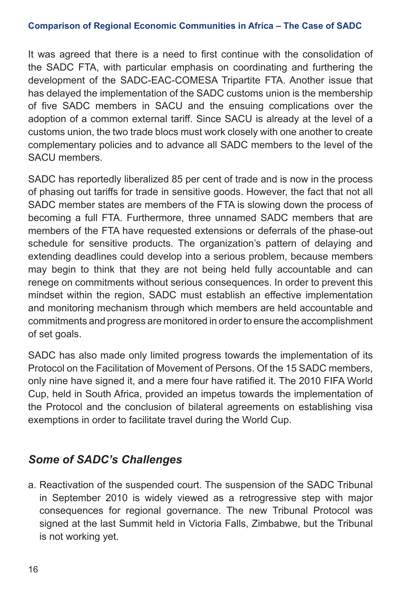#### **Comparison of Regional Economic Communities in Africa – The Case of SADC**

It was agreed that there is a need to first continue with the consolidation of the SADC FTA, with particular emphasis on coordinating and furthering the development of the SADC-EAC-COMESA Tripartite FTA. Another issue that has delayed the implementation of the SADC customs union is the membership of five SADC members in SACU and the ensuing complications over the adoption of a common external tariff. Since SACU is already at the level of a customs union, the two trade blocs must work closely with one another to create complementary policies and to advance all SADC members to the level of the SACU members.

SADC has reportedly liberalized 85 per cent of trade and is now in the process of phasing out tariffs for trade in sensitive goods. However, the fact that not all SADC member states are members of the FTA is slowing down the process of becoming a full FTA. Furthermore, three unnamed SADC members that are members of the FTA have requested extensions or deferrals of the phase-out schedule for sensitive products. The organization's pattern of delaying and extending deadlines could develop into a serious problem, because members may begin to think that they are not being held fully accountable and can renege on commitments without serious consequences. In order to prevent this mindset within the region, SADC must establish an effective implementation and monitoring mechanism through which members are held accountable and commitments and progress are monitored in order to ensure the accomplishment of set goals.

SADC has also made only limited progress towards the implementation of its Protocol on the Facilitation of Movement of Persons. Of the 15 SADC members, only nine have signed it, and a mere four have ratified it. The 2010 FIFA World Cup, held in South Africa, provided an impetus towards the implementation of the Protocol and the conclusion of bilateral agreements on establishing visa exemptions in order to facilitate travel during the World Cup.

## *Some of SADC's Challenges*

a. Reactivation of the suspended court. The suspension of the SADC Tribunal in September 2010 is widely viewed as a retrogressive step with major consequences for regional governance. The new Tribunal Protocol was signed at the last Summit held in Victoria Falls, Zimbabwe, but the Tribunal is not working yet.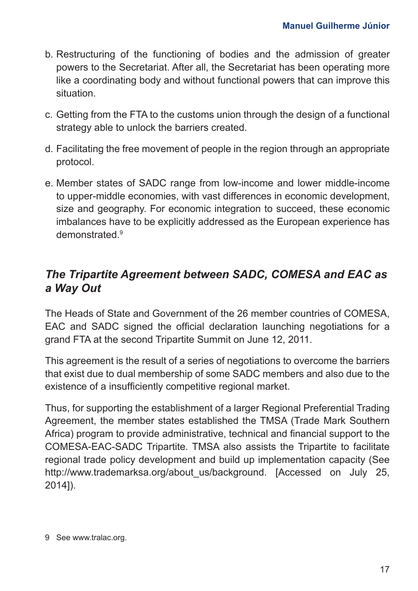- b. Restructuring of the functioning of bodies and the admission of greater powers to the Secretariat. After all, the Secretariat has been operating more like a coordinating body and without functional powers that can improve this situation.
- c. Getting from the FTA to the customs union through the design of a functional strategy able to unlock the barriers created.
- d. Facilitating the free movement of people in the region through an appropriate protocol.
- e. Member states of SADC range from low-income and lower middle-income to upper-middle economies, with vast differences in economic development, size and geography. For economic integration to succeed, these economic imbalances have to be explicitly addressed as the European experience has demonstrated.9

## *The Tripartite Agreement between SADC, COMESA and EAC as a Way Out*

The Heads of State and Government of the 26 member countries of COMESA, EAC and SADC signed the official declaration launching negotiations for a grand FTA at the second Tripartite Summit on June 12, 2011.

This agreement is the result of a series of negotiations to overcome the barriers that exist due to dual membership of some SADC members and also due to the existence of a insufficiently competitive regional market.

Thus, for supporting the establishment of a larger Regional Preferential Trading Agreement, the member states established the TMSA (Trade Mark Southern Africa) program to provide administrative, technical and financial support to the COMESA-EAC-SADC Tripartite. TMSA also assists the Tripartite to facilitate regional trade policy development and build up implementation capacity (See http://www.trademarksa.org/about\_us/background. [Accessed on July 25, 2014]).

<sup>9</sup> See [www.tralac.org.](http://www.tralac.org)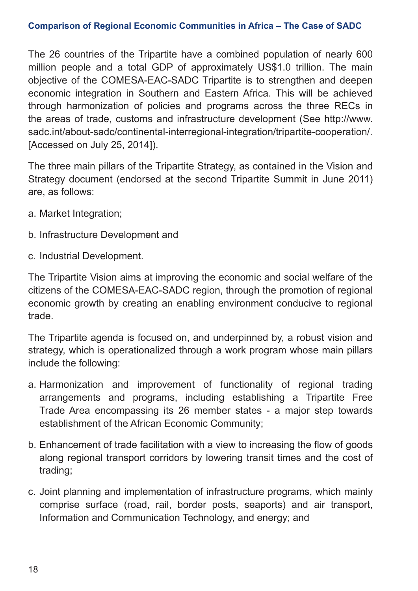#### **Comparison of Regional Economic Communities in Africa – The Case of SADC**

The 26 countries of the Tripartite have a combined population of nearly 600 million people and a total GDP of approximately US\$1.0 trillion. The main objective of the COMESA-EAC-SADC Tripartite is to strengthen and deepen economic integration in Southern and Eastern Africa. This will be achieved through harmonization of policies and programs across the three RECs in the areas of trade, customs and infrastructure development (See http://www. sadc.int/about-sadc/continental-interregional-integration/tripartite-cooperation/. [Accessed on July 25, 2014]).

The three main pillars of the Tripartite Strategy, as contained in the Vision and Strategy document (endorsed at the second Tripartite Summit in June 2011) are, as follows:

- a. Market Integration;
- b. Infrastructure Development and
- c. Industrial Development.

The Tripartite Vision aims at improving the economic and social welfare of the citizens of the COMESA-EAC-SADC region, through the promotion of regional economic growth by creating an enabling environment conducive to regional trade.

The Tripartite agenda is focused on, and underpinned by, a robust vision and strategy, which is operationalized through a work program whose main pillars include the following:

- a. Harmonization and improvement of functionality of regional trading arrangements and programs, including establishing a Tripartite Free Trade Area encompassing its 26 member states - a major step towards establishment of the African Economic Community;
- b. Enhancement of trade facilitation with a view to increasing the flow of goods along regional transport corridors by lowering transit times and the cost of trading;
- c. Joint planning and implementation of infrastructure programs, which mainly comprise surface (road, rail, border posts, seaports) and air transport, Information and Communication Technology, and energy; and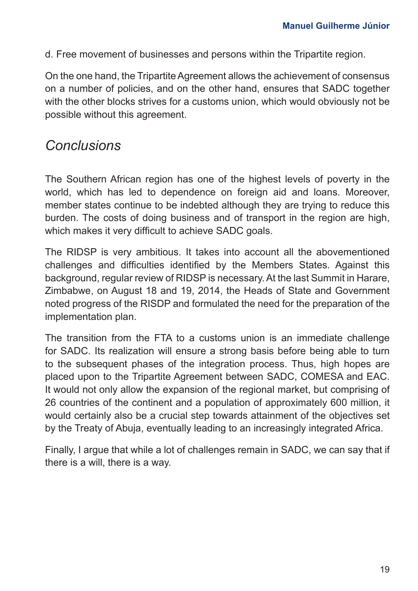d. Free movement of businesses and persons within the Tripartite region.

On the one hand, the Tripartite Agreement allows the achievement of consensus on a number of policies, and on the other hand, ensures that SADC together with the other blocks strives for a customs union, which would obviously not be possible without this agreement.

## *Conclusions*

The Southern African region has one of the highest levels of poverty in the world, which has led to dependence on foreign aid and loans. Moreover, member states continue to be indebted although they are trying to reduce this burden. The costs of doing business and of transport in the region are high, which makes it very difficult to achieve SADC goals.

The RIDSP is very ambitious. It takes into account all the abovementioned challenges and difficulties identified by the Members States. Against this background, regular review of RIDSP is necessary. At the last Summit in Harare, Zimbabwe, on August 18 and 19, 2014, the Heads of State and Government noted progress of the RISDP and formulated the need for the preparation of the implementation plan.

The transition from the FTA to a customs union is an immediate challenge for SADC. Its realization will ensure a strong basis before being able to turn to the subsequent phases of the integration process. Thus, high hopes are placed upon to the Tripartite Agreement between SADC, COMESA and EAC. It would not only allow the expansion of the regional market, but comprising of 26 countries of the continent and a population of approximately 600 million, it would certainly also be a crucial step towards attainment of the objectives set by the Treaty of Abuja, eventually leading to an increasingly integrated Africa.

Finally, I argue that while a lot of challenges remain in SADC, we can say that if there is a will, there is a way.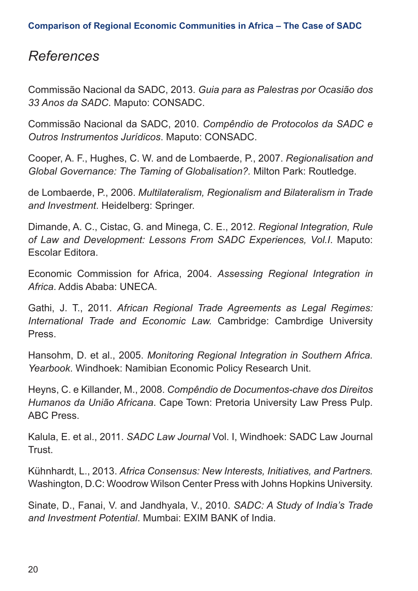## *References*

Commissão Nacional da SADC, 2013. *Guia para as Palestras por Ocasião dos 33 Anos da SADC*. Maputo: CONSADC.

Commissão Nacional da SADC, 2010. *Compêndio de Protocolos da SADC e Outros Instrumentos Jurídicos*. Maputo: CONSADC.

Cooper, A. F., Hughes, C. W. and de Lombaerde, P., 2007. *Regionalisation and Global Governance: The Taming of Globalisation?.* Milton Park: Routledge.

de Lombaerde, P., 2006. *Multilateralism, Regionalism and Bilateralism in Trade and Investment*. Heidelberg: Springer.

Dimande, A. C., Cistac, G. and Minega, C. E., 2012. *Regional Integration, Rule of Law and Development: Lessons From SADC Experiences, Vol.I*. Maputo: Escolar Editora.

Economic Commission for Africa, 2004. *Assessing Regional Integration in Africa*. Addis Ababa: UNECA.

Gathi, J. T., 2011. *African Regional Trade Agreements as Legal Regimes: International Trade and Economic Law.* Cambridge: Cambrdige University Press.

Hansohm, D. et al., 2005. *Monitoring Regional Integration in Southern Africa. Yearbook*. Windhoek: Namibian Economic Policy Research Unit.

Heyns, C. e Killander, M., 2008. *Compêndio de Documentos-chave dos Direitos Humanos da União Africana*. Cape Town: Pretoria University Law Press Pulp. ABC Press.

Kalula, E. et al., 2011. *SADC Law Journal* Vol. I, Windhoek: SADC Law Journal Trust.

Kühnhardt, L., 2013. *Africa Consensus: New Interests, Initiatives, and Partners.*  Washington, D.C: Woodrow Wilson Center Press with Johns Hopkins University.

Sinate, D., Fanai, V. and Jandhyala, V., 2010. *SADC: A Study of India's Trade and Investment Potential*. Mumbai: EXIM BANK of India.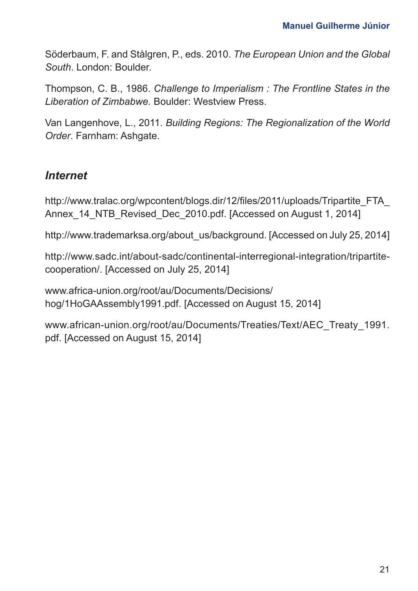Söderbaum, F. and Stålgren, P., eds. 2010. *The European Union and the Global South*. London: Boulder.

Thompson, C. B., 1986. *Challenge to Imperialism : The Frontline States in the Liberation of Zimbabwe.* Boulder: Westview Press.

Van Langenhove, L., 2011. *Building Regions: The Regionalization of the World Order*. Farnham: Ashgate.

## *Internet*

http://www.tralac.org/wpcontent/blogs.dir/12/files/2011/uploads/Tripartite\_FTA\_ Annex 14 NTB Revised Dec 2010.pdf. [Accessed on August 1, 2014]

http://www.trademarksa.org/about\_us/background. [Accessed on July 25, 2014]

http://www.sadc.int/about-sadc/continental-interregional-integration/tripartitecooperation/. [Accessed on July 25, 2014]

[www.africa-union.org/root/au/Documents/Decisions/](http://www.africa-union.org/root/au/Documents/Decisions/hog/1HoGAAssembly1991.pdf) [hog/1HoGAAssembly1991.pdf.](http://www.africa-union.org/root/au/Documents/Decisions/hog/1HoGAAssembly1991.pdf) [Accessed on August 15, 2014]

[www.african-union.org/root/au/Documents/Treaties/Text/AEC\\_Treaty\\_1991.](http://www.african-union.org/root/au/Documents/Treaties/Text/AEC_Treaty_1991.pdf) [pdf](http://www.african-union.org/root/au/Documents/Treaties/Text/AEC_Treaty_1991.pdf). [Accessed on August 15, 2014]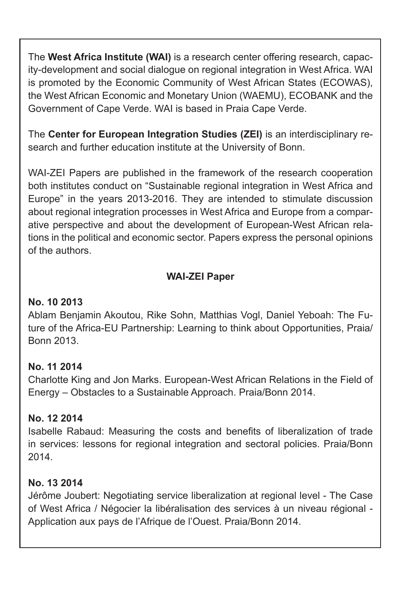The **West Africa Institute (WAI)** is a research center offering research, capacity-development and social dialogue on regional integration in West Africa. WAI is promoted by the Economic Community of West African States (ECOWAS), the West African Economic and Monetary Union (WAEMU), ECOBANK and the Government of Cape Verde. WAI is based in Praia Cape Verde.

The **Center for European Integration Studies (ZEI)** is an interdisciplinary research and further education institute at the University of Bonn.

WAI-ZEI Papers are published in the framework of the research cooperation both institutes conduct on "Sustainable regional integration in West Africa and Europe" in the years 2013-2016. They are intended to stimulate discussion about regional integration processes in West Africa and Europe from a comparative perspective and about the development of European-West African relations in the political and economic sector. Papers express the personal opinions of the authors.

## **WAI-ZEI Paper**

#### **No. 10 2013**

Ablam Benjamin Akoutou, Rike Sohn, Matthias Vogl, Daniel Yeboah: The Future of the Africa-EU Partnership: Learning to think about Opportunities, Praia/ Bonn 2013.

## **No. 11 2014**

Charlotte King and Jon Marks. European-West African Relations in the Field of Energy – Obstacles to a Sustainable Approach. Praia/Bonn 2014.

## **No. 12 2014**

Isabelle Rabaud: Measuring the costs and benefits of liberalization of trade in services: lessons for regional integration and sectoral policies. Praia/Bonn 2014.

## **No. 13 2014**

Jérôme Joubert: Negotiating service liberalization at regional level - The Case of West Africa / Négocier la libéralisation des services à un niveau régional - Application aux pays de l'Afrique de l'Ouest. Praia/Bonn 2014.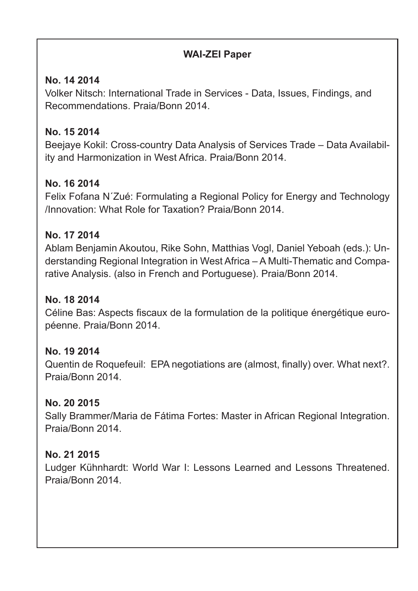## **WAI-ZEI Paper**

## **No. 14 2014**

Volker Nitsch: International Trade in Services - Data, Issues, Findings, and Recommendations. Praia/Bonn 2014.

## **No. 15 2014**

Beejaye Kokil: Cross-country Data Analysis of Services Trade – Data Availability and Harmonization in West Africa. Praia/Bonn 2014.

## **No. 16 2014**

Felix Fofana N´Zué: Formulating a Regional Policy for Energy and Technology /Innovation: What Role for Taxation? Praia/Bonn 2014.

#### **No. 17 2014**

Ablam Benjamin Akoutou, Rike Sohn, Matthias Vogl, Daniel Yeboah (eds.): Understanding Regional Integration in West Africa – A Multi-Thematic and Comparative Analysis. (also in French and Portuguese). Praia/Bonn 2014.

#### **No. 18 2014**

Céline Bas: Aspects fiscaux de la formulation de la politique énergétique européenne. Praia/Bonn 2014.

#### **No. 19 2014**

Quentin de Roquefeuil: EPA negotiations are (almost, finally) over. What next?. Praia/Bonn 2014.

#### **No. 20 2015**

Sally Brammer/Maria de Fátima Fortes: Master in African Regional Integration. Praia/Bonn 2014.

## **No. 21 2015**

Ludger Kühnhardt: World War I: Lessons Learned and Lessons Threatened. Praia/Bonn 2014.